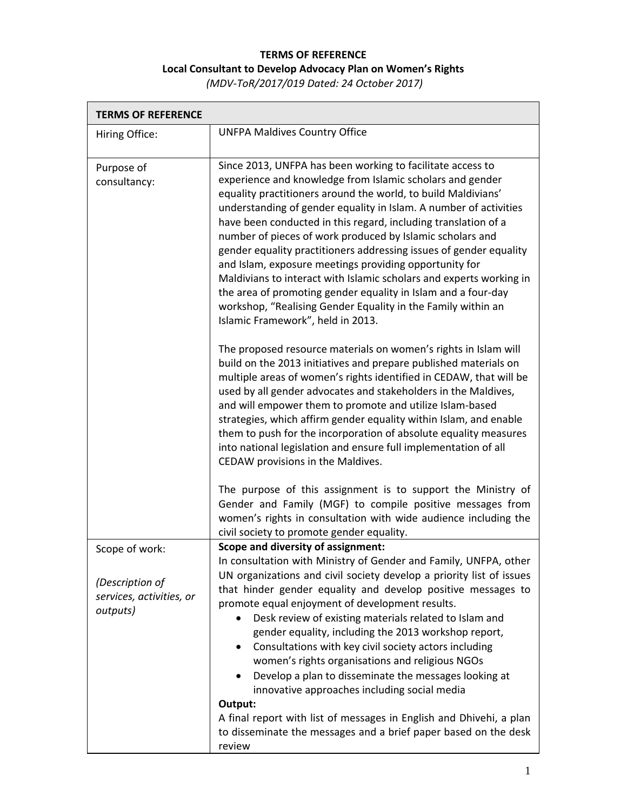## **TERMS OF REFERENCE Local Consultant to Develop Advocacy Plan on Women's Rights**

*(MDV‐ToR/2017/019 Dated: 24 October 2017)*

| <b>UNFPA Maldives Country Office</b>                                                                                                                                                                                                                                                                                                                                                                                                                                                                                                                                                                                                                                                                                                                                      |
|---------------------------------------------------------------------------------------------------------------------------------------------------------------------------------------------------------------------------------------------------------------------------------------------------------------------------------------------------------------------------------------------------------------------------------------------------------------------------------------------------------------------------------------------------------------------------------------------------------------------------------------------------------------------------------------------------------------------------------------------------------------------------|
| Since 2013, UNFPA has been working to facilitate access to<br>experience and knowledge from Islamic scholars and gender<br>equality practitioners around the world, to build Maldivians'<br>understanding of gender equality in Islam. A number of activities<br>have been conducted in this regard, including translation of a<br>number of pieces of work produced by Islamic scholars and<br>gender equality practitioners addressing issues of gender equality<br>and Islam, exposure meetings providing opportunity for<br>Maldivians to interact with Islamic scholars and experts working in<br>the area of promoting gender equality in Islam and a four-day<br>workshop, "Realising Gender Equality in the Family within an<br>Islamic Framework", held in 2013. |
| The proposed resource materials on women's rights in Islam will<br>build on the 2013 initiatives and prepare published materials on<br>multiple areas of women's rights identified in CEDAW, that will be<br>used by all gender advocates and stakeholders in the Maldives,<br>and will empower them to promote and utilize Islam-based<br>strategies, which affirm gender equality within Islam, and enable<br>them to push for the incorporation of absolute equality measures<br>into national legislation and ensure full implementation of all<br>CEDAW provisions in the Maldives.                                                                                                                                                                                  |
| The purpose of this assignment is to support the Ministry of<br>Gender and Family (MGF) to compile positive messages from<br>women's rights in consultation with wide audience including the<br>civil society to promote gender equality.                                                                                                                                                                                                                                                                                                                                                                                                                                                                                                                                 |
| Scope and diversity of assignment:<br>In consultation with Ministry of Gender and Family, UNFPA, other<br>UN organizations and civil society develop a priority list of issues<br>that hinder gender equality and develop positive messages to<br>promote equal enjoyment of development results.<br>Desk review of existing materials related to Islam and<br>$\bullet$<br>gender equality, including the 2013 workshop report,<br>Consultations with key civil society actors including<br>women's rights organisations and religious NGOs<br>Develop a plan to disseminate the messages looking at<br>innovative approaches including social media<br>Output:<br>A final report with list of messages in English and Dhivehi, a plan                                   |
|                                                                                                                                                                                                                                                                                                                                                                                                                                                                                                                                                                                                                                                                                                                                                                           |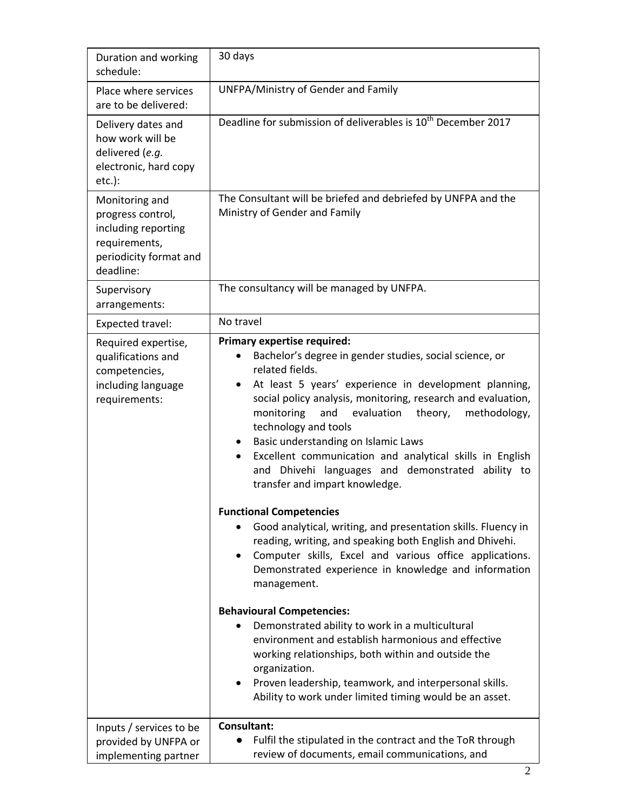| Duration and working<br>schedule:                                                                                  | 30 days                                                                                                                                                                                                                                                                                                                                                                                                                                                                                                                                                                                                                                                                                                                                                                                                                                                                                  |
|--------------------------------------------------------------------------------------------------------------------|------------------------------------------------------------------------------------------------------------------------------------------------------------------------------------------------------------------------------------------------------------------------------------------------------------------------------------------------------------------------------------------------------------------------------------------------------------------------------------------------------------------------------------------------------------------------------------------------------------------------------------------------------------------------------------------------------------------------------------------------------------------------------------------------------------------------------------------------------------------------------------------|
| Place where services<br>are to be delivered:                                                                       | UNFPA/Ministry of Gender and Family                                                                                                                                                                                                                                                                                                                                                                                                                                                                                                                                                                                                                                                                                                                                                                                                                                                      |
| Delivery dates and<br>how work will be<br>delivered (e.g.<br>electronic, hard copy<br>$etc.$ ):                    | Deadline for submission of deliverables is 10 <sup>th</sup> December 2017                                                                                                                                                                                                                                                                                                                                                                                                                                                                                                                                                                                                                                                                                                                                                                                                                |
| Monitoring and<br>progress control,<br>including reporting<br>requirements,<br>periodicity format and<br>deadline: | The Consultant will be briefed and debriefed by UNFPA and the<br>Ministry of Gender and Family                                                                                                                                                                                                                                                                                                                                                                                                                                                                                                                                                                                                                                                                                                                                                                                           |
| Supervisory<br>arrangements:                                                                                       | The consultancy will be managed by UNFPA.                                                                                                                                                                                                                                                                                                                                                                                                                                                                                                                                                                                                                                                                                                                                                                                                                                                |
| Expected travel:                                                                                                   | No travel                                                                                                                                                                                                                                                                                                                                                                                                                                                                                                                                                                                                                                                                                                                                                                                                                                                                                |
| Required expertise,<br>qualifications and<br>competencies,<br>including language<br>requirements:                  | <b>Primary expertise required:</b><br>Bachelor's degree in gender studies, social science, or<br>related fields.<br>At least 5 years' experience in development planning,<br>$\bullet$<br>social policy analysis, monitoring, research and evaluation,<br>monitoring<br>evaluation<br>methodology,<br>and<br>theory,<br>technology and tools<br>Basic understanding on Islamic Laws<br>$\bullet$<br>Excellent communication and analytical skills in English<br>and Dhivehi languages and demonstrated ability to<br>transfer and impart knowledge.<br><b>Functional Competencies</b><br>Good analytical, writing, and presentation skills. Fluency in<br>reading, writing, and speaking both English and Dhivehi.<br>Computer skills, Excel and various office applications.<br>Demonstrated experience in knowledge and information<br>management.<br><b>Behavioural Competencies:</b> |
|                                                                                                                    | Demonstrated ability to work in a multicultural<br>environment and establish harmonious and effective<br>working relationships, both within and outside the<br>organization.<br>Proven leadership, teamwork, and interpersonal skills.<br>$\bullet$<br>Ability to work under limited timing would be an asset.                                                                                                                                                                                                                                                                                                                                                                                                                                                                                                                                                                           |
| Inputs / services to be<br>provided by UNFPA or<br>implementing partner                                            | Consultant:<br>Fulfil the stipulated in the contract and the ToR through<br>review of documents, email communications, and                                                                                                                                                                                                                                                                                                                                                                                                                                                                                                                                                                                                                                                                                                                                                               |